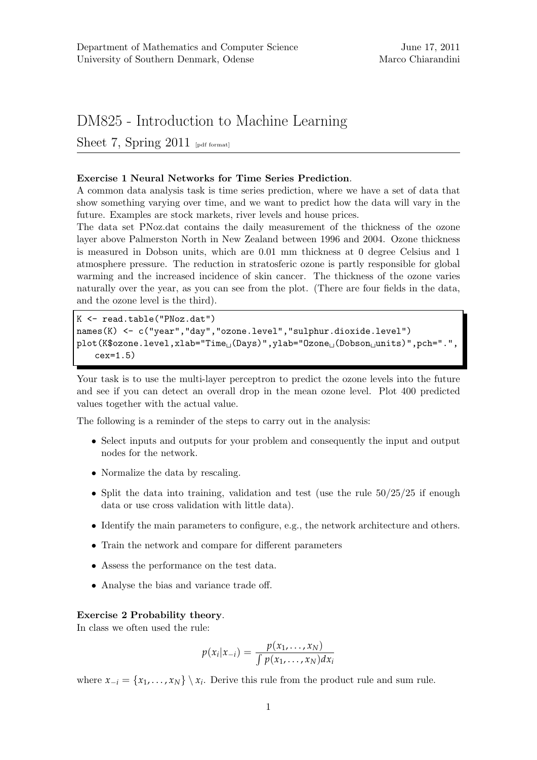# DM825 - Introduction to Machine Learning

Sheet 7, Spring  $2011$  [pdf format]

# Exercise 1 Neural Networks for Time Series Prediction.

A common data analysis task is time series prediction, where we have a set of data that show something varying over time, and we want to predict how the data will vary in the future. Examples are stock markets, river levels and house prices.

The data set PNoz.dat contains the daily measurement of the thickness of the ozone layer above Palmerston North in New Zealand between 1996 and 2004. Ozone thickness is measured in Dobson units, which are 0.01 mm thickness at 0 degree Celsius and 1 atmosphere pressure. The reduction in stratosferic ozone is partly responsible for global warming and the increased incidence of skin cancer. The thickness of the ozone varies naturally over the year, as you can see from the plot. (There are four fields in the data, and the ozone level is the third).

```
K <- read.table("PNoz.dat")
names(K) <- c("year","day","ozone.level","sulphur.dioxide.level")
plot(K$ozone.level,xlab="Time<sub>[1</sub>(Days)",ylab="0zone<sub>[1</sub>(Dobson<sub>[1</sub>units)",pch=".",
    cex=1.5)
```
Your task is to use the multi-layer perceptron to predict the ozone levels into the future and see if you can detect an overall drop in the mean ozone level. Plot 400 predicted values together with the actual value.

The following is a reminder of the steps to carry out in the analysis:

- Select inputs and outputs for your problem and consequently the input and output nodes for the network.
- Normalize the data by rescaling.
- Split the data into training, validation and test (use the rule  $50/25/25$  if enough data or use cross validation with little data).
- Identify the main parameters to configure, e.g., the network architecture and others.
- Train the network and compare for different parameters
- Assess the performance on the test data.
- Analyse the bias and variance trade off.

## Exercise 2 Probability theory.

In class we often used the rule:

$$
p(x_i|x_{-i}) = \frac{p(x_1, \ldots, x_N)}{\int p(x_1, \ldots, x_N) dx_i}
$$

where  $x_{-i} = \{x_1, \ldots, x_N\} \setminus x_i$ . Derive this rule from the product rule and sum rule.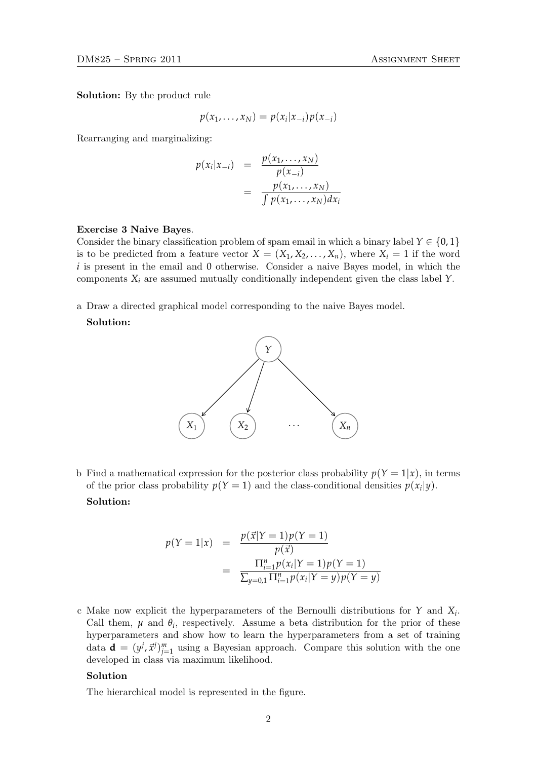Solution: By the product rule

$$
p(x_1,\ldots,x_N)=p(x_i|x_{-i})p(x_{-i})
$$

Rearranging and marginalizing:

$$
p(x_i|x_{-i}) = \frac{p(x_1, \dots, x_N)}{p(x_{-i})}
$$

$$
= \frac{p(x_1, \dots, x_N)}{\int p(x_1, \dots, x_N) dx_i}
$$

#### Exercise 3 Naive Bayes.

Consider the binary classification problem of spam email in which a binary label  $Y \in \{0,1\}$ is to be predicted from a feature vector  $X = (X_1, X_2, \ldots, X_n)$ , where  $X_i = 1$  if the word *i* is present in the email and 0 otherwise. Consider a naive Bayes model, in which the components *X<sup>i</sup>* are assumed mutually conditionally independent given the class label *Y*.

a Draw a directed graphical model corresponding to the naive Bayes model.

# Solution:



b Find a mathematical expression for the posterior class probability  $p(Y = 1|x)$ , in terms of the prior class probability  $p(Y = 1)$  and the class-conditional densities  $p(x_i|y)$ . Solution:

$$
p(Y = 1|x) = \frac{p(\vec{x}|Y = 1)p(Y = 1)}{p(\vec{x})}
$$
  
= 
$$
\frac{\prod_{i=1}^{n} p(x_i|Y = 1)p(Y = 1)}{\sum_{y=0,1} \prod_{i=1}^{n} p(x_i|Y = y)p(Y = y)}
$$

c Make now explicit the hyperparameters of the Bernoulli distributions for *Y* and *X<sup>i</sup>* . Call them,  $\mu$  and  $\theta_i$ , respectively. Assume a beta distribution for the prior of these hyperparameters and show how to learn the hyperparameters from a set of training data  $\mathbf{d} = (y^j, \vec{x}^j)_{j=1}^m$  using a Bayesian approach. Compare this solution with the one developed in class via maximum likelihood.

### Solution

The hierarchical model is represented in the figure.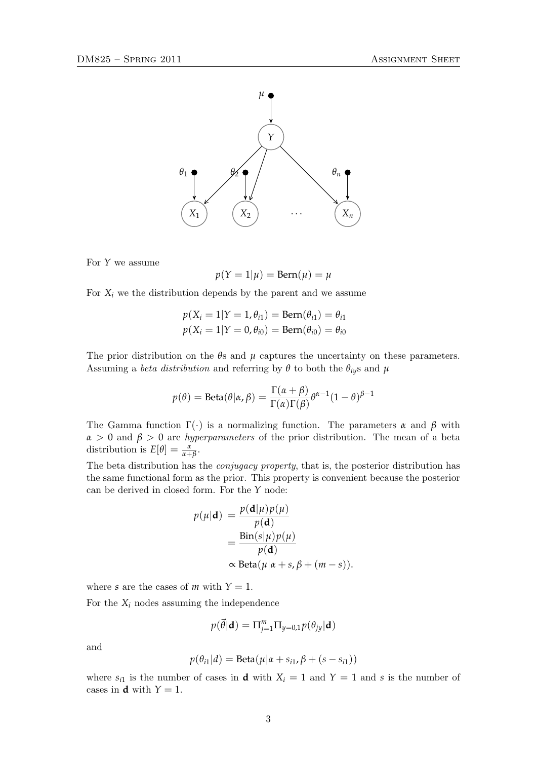

For *Y* we assume

$$
p(Y = 1 | \mu) = \text{Bern}(\mu) = \mu
$$

For  $X_i$  we the distribution depends by the parent and we assume

$$
p(X_i = 1 | Y = 1, \theta_{i1}) = Bern(\theta_{i1}) = \theta_{i1}
$$
  

$$
p(X_i = 1 | Y = 0, \theta_{i0}) = Bern(\theta_{i0}) = \theta_{i0}
$$

The prior distribution on the *θ*s and *µ* captures the uncertainty on these parameters. Assuming a *beta distribution* and referring by  $\theta$  to both the  $\theta_{iy}$ s and  $\mu$ 

$$
p(\theta) = \text{Beta}(\theta | \alpha, \beta) = \frac{\Gamma(\alpha + \beta)}{\Gamma(\alpha)\Gamma(\beta)} \theta^{\alpha - 1} (1 - \theta)^{\beta - 1}
$$

The Gamma function  $\Gamma(\cdot)$  is a normalizing function. The parameters  $\alpha$  and  $\beta$  with  $\alpha > 0$  and  $\beta > 0$  are *hyperparameters* of the prior distribution. The mean of a beta distribution is  $E[\theta] = \frac{\alpha}{\alpha + \beta}$ .

The beta distribution has the conjugacy property, that is, the posterior distribution has the same functional form as the prior. This property is convenient because the posterior can be derived in closed form. For the *Y* node:

$$
p(\mu|\mathbf{d}) = \frac{p(\mathbf{d}|\mu)p(\mu)}{p(\mathbf{d})}
$$
  
= 
$$
\frac{\text{Bin}(s|\mu)p(\mu)}{p(\mathbf{d})}
$$
  

$$
\propto \text{Beta}(\mu|\alpha + s, \beta + (m - s)).
$$

where *s* are the cases of *m* with  $Y = 1$ .

For the  $X_i$  nodes assuming the independence

$$
p(\vec{\theta}|\mathbf{d}) = \Pi_{j=1}^m \Pi_{y=0,1} p(\theta_{jy}|\mathbf{d})
$$

and

$$
p(\theta_{i1}|d) = \text{Beta}(\mu|\alpha + s_{i1}, \beta + (s - s_{i1}))
$$

where  $s_{i1}$  is the number of cases in **d** with  $X_i = 1$  and  $Y = 1$  and *s* is the number of cases in **d** with  $Y = 1$ .